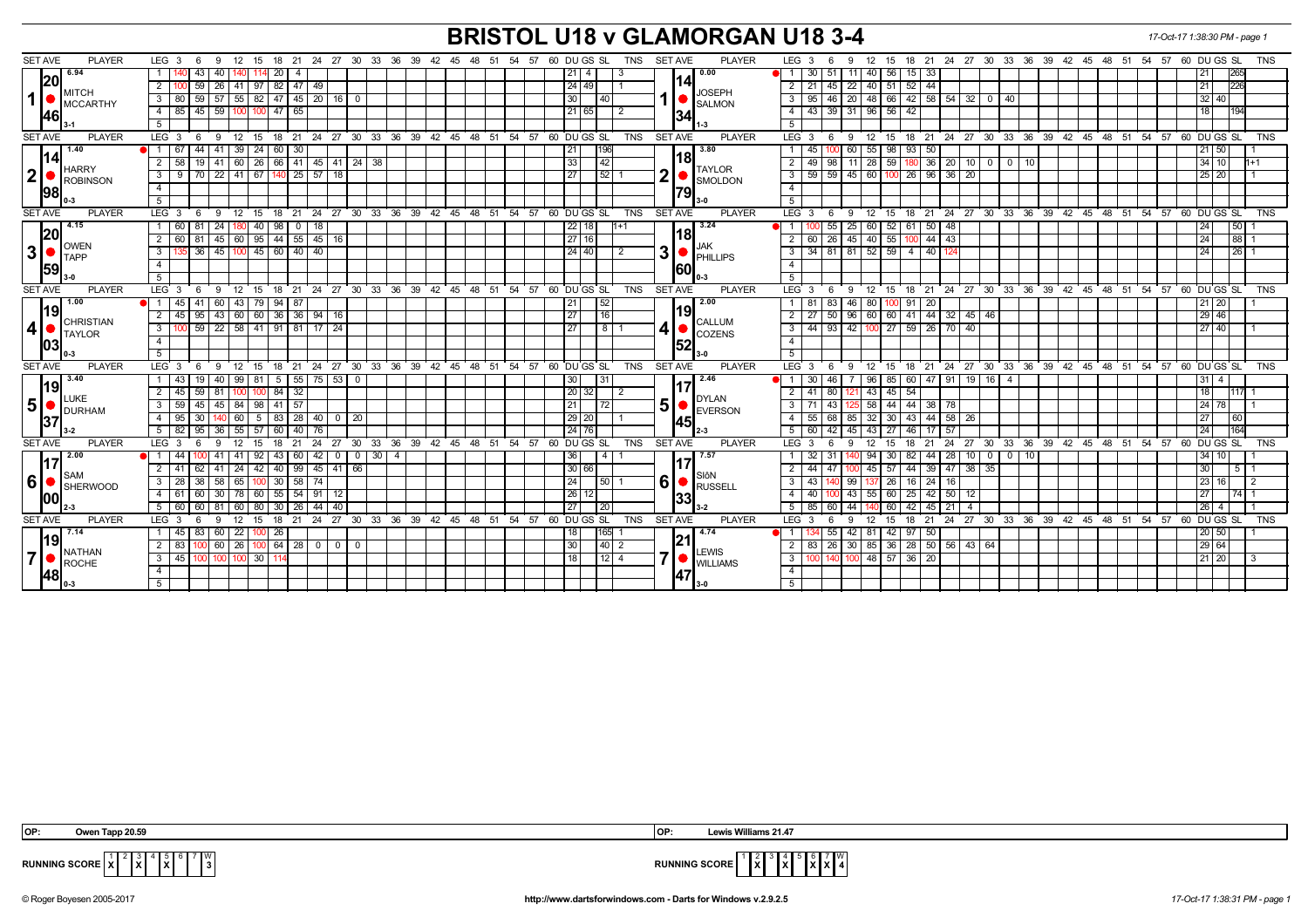## **BRISTOL U18 v GLAMORGAN U18 3-4** *17-Oct-17 1:38:30 PM - page 1*

| <b>SET AVE</b><br><b>PLAYER</b>                            | LEG <sub>3</sub><br>12<br>15<br>- 6<br>- 9                                  |                          |             | 18 21 24 27 30 33 36 39 42 45 48 51 54 57 60 DUGS SL<br>TNS              | <b>SET AVE</b><br><b>PLAYER</b>                             | LEG <sub>3</sub><br>12 15 18 21 24 27 30 33 36 39 42 45 48 51 54 57 60 DUGS SL<br><b>TNS</b><br>- 6<br>9                                                                      |
|------------------------------------------------------------|-----------------------------------------------------------------------------|--------------------------|-------------|--------------------------------------------------------------------------|-------------------------------------------------------------|-------------------------------------------------------------------------------------------------------------------------------------------------------------------------------|
| 6.94                                                       | 43<br>20 I<br>40 I                                                          | $\overline{4}$           |             | 21  <br>-4                                                               | 0.00                                                        | 11 40 56 15 33<br>265<br>$30$ 51<br>l 21                                                                                                                                      |
| 20 <br><b>MITCH</b><br>1 <sup>1</sup><br>MCCARTHY<br>I46l  | $\overline{2}$<br>59<br> 26 41 97                                           | 82 47 49                 |             | 24 49                                                                    | 141                                                         | 22   40   51   52   44<br>226<br>$2 \mid 21$<br>45<br> 21                                                                                                                     |
|                                                            | 3   80   59   57   55   82   47   45   20   16   0                          |                          |             | 30 <br>  40                                                              | <b>JOSEPH</b>                                               | 20 48 66 42 58 54 32 0 40<br>$\overline{3}$<br> 32 40 <br>95<br>46                                                                                                            |
|                                                            | 45   59   100   100<br>$4 \mid 85$                                          | $147 \ 65$               |             | 21 65<br>l 2                                                             | <b>SALMON</b>                                               | 43 39 31 96 56 42<br>$\overline{4}$<br>l 18 l                                                                                                                                 |
|                                                            | 5                                                                           |                          |             |                                                                          | 34                                                          | 5                                                                                                                                                                             |
| <b>SET AVE</b><br><b>PLAYER</b>                            | LEG $3 \t6$<br>- 9                                                          |                          |             | $12$ 15 18 21 24 27 30 33 36 39 42 45 48 51 54 57 60 DUGS SL<br>TNS      | <b>SET AVE</b><br><b>PLAYER</b>                             | $LEG \ 3$<br>12 15 18 21 24 27 30 33 36 39 42 45 48 51 54 57 60 DUGS SL<br><b>TNS</b><br>6<br>- 9                                                                             |
| 1.40                                                       | 44 41 39 24 60 30<br>$\bullet$ 1 67                                         |                          |             | 21<br>196                                                                | 3.80                                                        | 60 55 98 93 50<br>45<br>  21   50                                                                                                                                             |
| 1141<br>HARRY<br>2 <sup>2</sup><br>ROBINSON<br><b>1981</b> | $\overline{2}$<br>58<br>19<br>41                                            |                          |             | 33 <br>42                                                                | 181                                                         | 11 28 59 180<br>$36$ $20$ 10<br>$\overline{2}$<br>49<br>  34   10<br>98<br>0 0 10                                                                                             |
|                                                            | $3 \mid 9 \mid 70 \mid 22 \mid 41 \mid 67 \mid 140 \mid 25 \mid 57 \mid 18$ |                          |             | 27<br>52                                                                 | <b>TAYLOR</b><br>2                                          | $\overline{\mathbf{3}}$<br>$59$ $\overline{59}$ $\overline{45}$ $\overline{60}$ $\overline{100}$ $\overline{26}$ $\overline{96}$ $\overline{36}$ $\overline{20}$<br>  25   20 |
|                                                            | $\overline{4}$                                                              |                          |             |                                                                          | <b>SMOLDON</b>                                              | $\overline{4}$                                                                                                                                                                |
|                                                            | 5 <sup>1</sup>                                                              |                          |             |                                                                          | 79                                                          | 5                                                                                                                                                                             |
| <b>SET AVE</b><br><b>PLAYER</b>                            | LEG <sub>3</sub><br><b>9</b><br>6                                           |                          |             | 12 15 18 21 24 27 30 33 36 39 42 45 48 51 54 57 60 DUGS SL<br>TNS        | SET AVE<br><b>PLAYER</b>                                    | LEG <sub>3</sub><br>ື 9⊧<br>12 15 18 21 24 27 30 33 36 39 42 45 48 51 54 57 60 DUGS SL<br><b>TNS</b><br>6                                                                     |
| 4.15                                                       | 1 60 81 24 180 40 98 0 18                                                   |                          |             | 22 18<br>$11 + 1$                                                        | 3.24                                                        | 25 60 52 61 50 48<br>55<br>l 50 l<br>$\blacksquare$ 1<br> 24                                                                                                                  |
| 20                                                         | 2 60 81<br>  45   60   95   44   55   45   16                               |                          |             | l 27 I 16                                                                | l18l<br>JAK<br>3                                            | 45   40   55   100<br>44   43<br>88 I 1<br>$\overline{2}$<br>60 26<br>l 24                                                                                                    |
| . ∥OWEN<br>ا3 <br>$\blacksquare$ TAPP<br>159               | 135 36 45 100 45 60 40 40<br>3 I                                            |                          |             | 24 40 <br>2                                                              |                                                             | 34   81   81   52   59   4   40   124<br>$\sqrt{26}$ 1<br>3 <sup>1</sup><br>  24                                                                                              |
|                                                            | $\overline{4}$                                                              |                          |             |                                                                          | PHILLIPS                                                    | $\overline{4}$                                                                                                                                                                |
|                                                            | 5                                                                           |                          |             |                                                                          | 160I                                                        | 5                                                                                                                                                                             |
| <b>SET AVE</b><br><b>PLAYER</b>                            |                                                                             |                          |             | LEG 3 6 9 12 15 18 21 24 27 30 33 36 39 42 45 48 51 54 57 60 DUGS SL     | TNS SET AVE<br><b>PLAYER</b>                                | 9 12 15 18 21 24 27 30 33 36 39 42 45 48 51 54 57 60 DUGS SL<br>$LEG_3$ 6<br><b>TNS</b>                                                                                       |
| 1.00<br>1191<br>CHRISTIAN<br>$\vert$                       | 41<br> 60 <br>43 79 94 87<br>$\bullet$ 1 45                                 |                          |             | 52<br>  21                                                               | 2.00                                                        | 46<br>80 I<br>$100$ 91 20<br>1   81<br>-83<br>  21   20                                                                                                                       |
|                                                            | 2 45 95 43 60 60 36 36 94 16                                                |                          |             | $\sqrt{27}$<br>16                                                        | 19<br><b>CALLUM</b><br>4<br>$\bigcirc$ COZENS               | 27   50   96   60   60   41   44   32   45   46  <br> 29 46 <br>2 I                                                                                                           |
|                                                            | 59 22 58 41 91 81 17 24<br>$3 \mid 100$                                     |                          |             | 27<br>8                                                                  |                                                             | 44 93 42 100 27 59 26 70 40<br>3<br> 27 40                                                                                                                                    |
| $\blacksquare$ TAYLOR<br>1031                              | $\overline{4}$                                                              |                          |             |                                                                          |                                                             | $\overline{4}$                                                                                                                                                                |
|                                                            | 5 <sup>1</sup>                                                              |                          |             |                                                                          | <b>152</b>                                                  | 5                                                                                                                                                                             |
| <b>SET AVE</b><br><b>PLAYER</b>                            | LEG <sub>3</sub><br>ື 9⊧<br>6                                               |                          |             | 12 15 18 21 24 27 30 33 36 39 42 45 48 51 54 57 60 DUGS SL<br><b>TNS</b> | <b>SET AVE</b><br><b>PLAYER</b>                             | 12 15 18 21 24 27 30 33 36 39 42 45 48 51 54 57 60 DUGS SL<br>LEG <sub>3</sub><br><b>TNS</b><br>6<br>- 9                                                                      |
| 3.40                                                       | 99   81<br>1   43  <br>19 I<br>l 40 I                                       | 5 5 75 53 0              |             | 30  <br>  31                                                             | 2.46                                                        | 7   96   85   60   47   91   19   16   4<br>30<br>46<br>  31   4<br>$\overline{1}$                                                                                            |
| 19                                                         | 2 45 59 81<br>100 I<br>100                                                  | $84 \overline{32}$       | 20 32 <br>2 |                                                                          | 43   45   54<br>2 I<br>l 18 l<br>41<br>80<br>121<br>11171 1 |                                                                                                                                                                               |
| LUKE<br>5 <sup>1</sup>                                     | $3 \mid 59 \mid$<br>45<br>  45   84   98   41   57                          |                          |             | 21<br>72                                                                 | DYLAN<br>5<br>EVERSON                                       | 3   71<br>58   44   44   38   78<br>  24   78<br>43                                                                                                                           |
| <b>DURHAM</b>                                              | 4 95<br>30 <sup>2</sup>                                                     |                          |             | 29 20                                                                    | <b>1451</b>                                                 | 55 68 85 32 30 43 44 58 26<br>4 <sup>1</sup><br>  27<br>l 60 l                                                                                                                |
| 37                                                         | 95<br>55   57<br>5   82<br>36<br>60                                         | 40<br>76                 |             | 24 76                                                                    |                                                             | 45<br>124<br>164<br>5 <sup>1</sup><br>60<br>42<br>43<br>l 27 l<br>  46<br>17                                                                                                  |
| <b>SET AVE</b><br><b>PLAYER</b>                            | $LEG \ 3$<br>18<br>12<br>15<br>6<br>-9                                      | 21                       |             | 24 27 30 33 36 39 42 45 48 51 54 57 60 DUGS SL<br><b>TNS</b>             | <b>SET AVE</b><br><b>PLAYER</b>                             | 21 24 27 30 33 36 39 42 45 48 51 54 57 60 DUGS SL<br>LEG <sup>®</sup><br>12<br>15<br>18<br><b>TNS</b><br>-3<br>-9<br>- 6                                                      |
| 2.00                                                       | 92<br>43                                                                    | 60<br>42<br>$\mathbf 0$  | $0$ 30 4    | 36 <br>4                                                                 | 7.57                                                        | 94<br>82<br>44   28<br>10 <sup>1</sup><br>34 1 1 1<br>30<br>0 1 0<br>10                                                                                                       |
| 117<br><b>I</b> SAM<br>16   SHERWOOD<br>1001               | 42<br>$2 \mid 41$<br>41<br>  24                                             | $40 \mid 99$<br>45 41 66 |             | 30 66                                                                    |                                                             | $\sqrt{44}$<br>39 47 38 35<br>$\overline{2}$<br>44<br>45   57  <br>130                                                                                                        |
|                                                            | $3 \quad 28$<br>38   58<br>65 100 30 58 74                                  |                          |             | 24 <br>50                                                                | SIôN<br>$6 \mid$<br>RUSSELL                                 | 3<br>99<br> 23 16 <br>43<br>137 26 16 24 16<br>$\sqrt{2}$                                                                                                                     |
|                                                            | $4 \mid 61$<br>60<br>78 60<br>l 30 l                                        | 55 54 91<br>-12          |             | 26 <br>12                                                                | 33                                                          | 43 55 60 25<br>42 50 12<br>$74$ 1<br>$\overline{4}$<br>40 <sup>1</sup><br>l 27                                                                                                |
|                                                            | 5 60<br>60<br>l 81<br>60 l<br>80<br>30 I                                    | 26<br>44<br>40           |             | 27<br>20                                                                 |                                                             | 60   42 <br>5<br>85<br>44<br>45   21  <br>$\overline{4}$<br> 26                                                                                                               |
| <b>PLAYER</b><br><b>SET AVE</b>                            | LEG <sub>3</sub><br>12 <sup>2</sup><br>18<br>15<br>-6<br>9                  | 21                       |             | 24 27 30 33 36 39 42 45 48 51 54 57 60 DUGS SL<br><b>TNS</b>             | <b>SET AVE</b><br><b>PLAYER</b>                             | LEG <sub>3</sub><br>24 27 30 33 36 39 42 45 48 51 54 57<br>60 DU GS SL<br>18<br>21<br><b>TNS</b><br>9<br>12 <sup>2</sup><br>15<br>- 6                                         |
| 7.14                                                       | 22<br>1   45 <br>83   60  <br> 26 <br>100                                   |                          |             | 18<br>165                                                                | 4.74                                                        | $42 \mid 81$<br>55<br>  42   97  <br>50<br>  20   50                                                                                                                          |
| 19<br>NATHAN<br>$\overline{7}$<br>ROCHE<br> 48             | 2   83<br>60 I<br>26   100                                                  | 64 28 0<br>$0$   0       |             | $ 30\rangle$<br> 40 2                                                    | 21                                                          | $30 \mid 85 \mid 36 \mid 28 \mid 50 \mid 56 \mid 43 \mid 64$<br> 29 64<br>$\overline{2}$<br>26<br>83                                                                          |
|                                                            | 3 45 100 100 100 30 114                                                     |                          |             | 18 <br>$12$ 4                                                            | <b>LEWIS</b><br>$\overline{7}$<br><b>U</b> WILLIAMS         | 100 140 100 48 57 36 20<br>$\overline{3}$<br>  21   20  <br>I 3                                                                                                               |
|                                                            | $\overline{4}$                                                              |                          |             |                                                                          | 1471                                                        | $\overline{4}$                                                                                                                                                                |
|                                                            | 5 <sup>5</sup>                                                              |                          |             |                                                                          |                                                             | 5                                                                                                                                                                             |



2 3 **X** 5 **X** 7 W

**X** 4 **X** 6 **X** 7 **X** W **4**



**RUNNING SCORE**  $\frac{1}{x}$